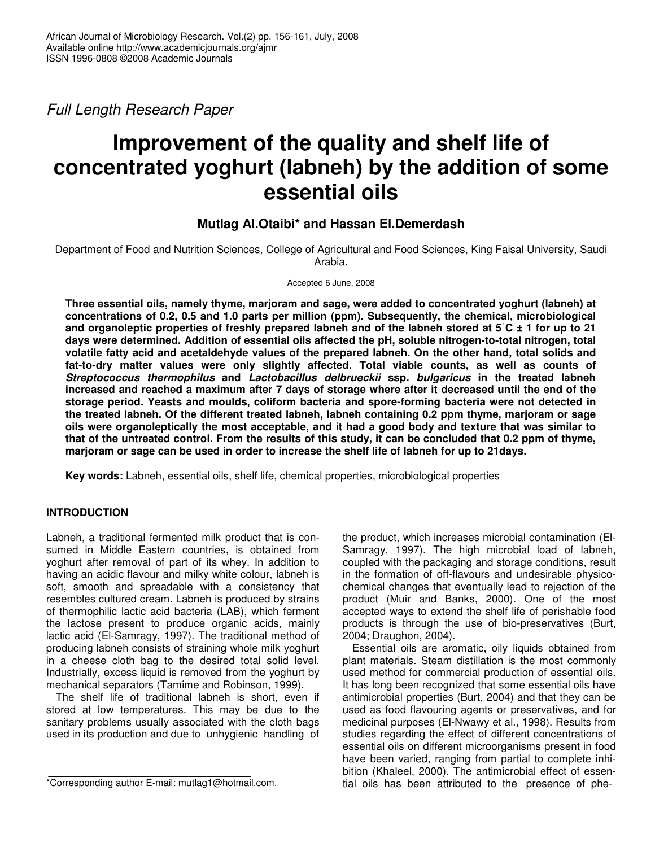*Full Length Research Paper*

# **Improvement of the quality and shelf life of concentrated yoghurt (labneh) by the addition of some essential oils**

# **Mutlag Al.Otaibi\* and Hassan El.Demerdash**

Department of Food and Nutrition Sciences, College of Agricultural and Food Sciences, King Faisal University, Saudi Arabia.

Accepted 6 June, 2008

**Three essential oils, namely thyme, marjoram and sage, were added to concentrated yoghurt (labneh) at concentrations of 0.2, 0.5 and 1.0 parts per million (ppm). Subsequently, the chemical, microbiological** and organoleptic properties of freshly prepared labneh and of the labneh stored at  $5^{\circ}$ C ± 1 for up to 21 **days were determined. Addition of essential oils affected the pH, soluble nitrogen-to-total nitrogen, total volatile fatty acid and acetaldehyde values of the prepared labneh. On the other hand, total solids and fat-to-dry matter values were only slightly affected. Total viable counts, as well as counts of** *Streptococcus thermophilus* **and** *Lactobacillus delbrueckii* **ssp.** *bulgaricus* **in the treated labneh** increased and reached a maximum after 7 days of storage where after it decreased until the end of the **storage period. Yeasts and moulds, coliform bacteria and spore-forming bacteria were not detected in the treated labneh. Of the different treated labneh, labneh containing 0.2 ppm thyme, marjoram or sage** oils were organoleptically the most acceptable, and it had a good body and texture that was similar to that of the untreated control. From the results of this study, it can be concluded that 0.2 ppm of thyme, marjoram or sage can be used in order to increase the shelf life of labneh for up to 21 days.

**Key words:** Labneh, essential oils, shelf life, chemical properties, microbiological properties

# **INTRODUCTION**

Labneh, a traditional fermented milk product that is consumed in Middle Eastern countries, is obtained from yoghurt after removal of part of its whey. In addition to having an acidic flavour and milky white colour, labneh is soft, smooth and spreadable with a consistency that resembles cultured cream. Labneh is produced by strains of thermophilic lactic acid bacteria (LAB), which ferment the lactose present to produce organic acids, mainly lactic acid (El-Samragy, 1997). The traditional method of producing labneh consists of straining whole milk yoghurt in a cheese cloth bag to the desired total solid level. Industrially, excess liquid is removed from the yoghurt by mechanical separators (Tamime and Robinson, 1999).

The shelf life of traditional labneh is short, even if stored at low temperatures. This may be due to the sanitary problems usually associated with the cloth bags used in its production and due to unhygienic handling of

the product, which increases microbial contamination (El-Samragy, 1997). The high microbial load of labneh, coupled with the packaging and storage conditions, result in the formation of off-flavours and undesirable physicochemical changes that eventually lead to rejection of the product (Muir and Banks, 2000). One of the most accepted ways to extend the shelf life of perishable food products is through the use of bio-preservatives (Burt, 2004; Draughon, 2004).

Essential oils are aromatic, oily liquids obtained from plant materials. Steam distillation is the most commonly used method for commercial production of essential oils. It has long been recognized that some essential oils have antimicrobial properties (Burt, 2004) and that they can be used as food flavouring agents or preservatives, and for medicinal purposes (El-Nwawy et al., 1998). Results from studies regarding the effect of different concentrations of essential oils on different microorganisms present in food have been varied, ranging from partial to complete inhibition (Khaleel, 2000). The antimicrobial effect of essential oils has been attributed to the presence of phe-

<sup>\*</sup>Corresponding author E-mail: mutlag1@hotmail.com.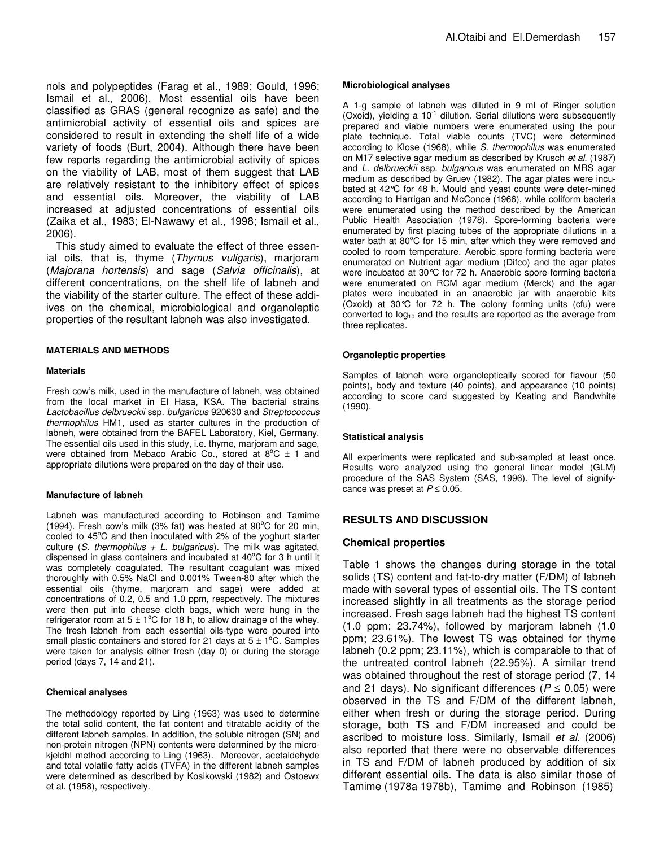nols and polypeptides (Farag et al., 1989; Gould, 1996; Ismail et al., 2006). Most essential oils have been classified as GRAS (general recognize as safe) and the antimicrobial activity of essential oils and spices are considered to result in extending the shelf life of a wide variety of foods (Burt, 2004). Although there have been few reports regarding the antimicrobial activity of spices on the viability of LAB, most of them suggest that LAB are relatively resistant to the inhibitory effect of spices and essential oils. Moreover, the viability of LAB increased at adjusted concentrations of essential oils (Zaika et al., 1983; El-Nawawy et al., 1998; Ismail et al., 2006).

This study aimed to evaluate the effect of three essenial oils, that is, thyme (*Thymus vuligaris*), marjoram (*Majorana hortensis*) and sage (*Salvia officinalis*), at different concentrations, on the shelf life of labneh and the viability of the starter culture. The effect of these addiives on the chemical, microbiological and organoleptic properties of the resultant labneh was also investigated.

## **MATERIALS AND METHODS**

#### **Materials**

Fresh cow's milk, used in the manufacture of labneh, was obtained from the local market in El Hasa, KSA. The bacterial strains *Lactobacillus delbrueckii* ssp. *bulgaricus* 920630 and *Streptococcus thermophilus* HM1, used as starter cultures in the production of labneh, were obtained from the BAFEL Laboratory, Kiel, Germany. The essential oils used in this study, i.e. thyme, marjoram and sage, were obtained from Mebaco Arabic Co., stored at  $8^{\circ}$ C  $\pm$  1 and appropriate dilutions were prepared on the day of their use.

#### **Manufacture of labneh**

Labneh was manufactured according to Robinson and Tamime (1994). Fresh cow's milk (3% fat) was heated at  $90^{\circ}$ C for 20 min, cooled to 45°C and then inoculated with 2% of the yoghurt starter culture (*S. thermophilus + L. bulgaricus*). The milk was agitated, dispensed in glass containers and incubated at  $40^{\circ}$ C for 3 h until it was completely coagulated. The resultant coagulant was mixed thoroughly with 0.5% NaCl and 0.001% Tween-80 after which the essential oils (thyme, marjoram and sage) were added at concentrations of 0.2, 0.5 and 1.0 ppm, respectively. The mixtures were then put into cheese cloth bags, which were hung in the refrigerator room at  $5 \pm 1^{\circ}$ C for 18 h, to allow drainage of the whey. The fresh labneh from each essential oils-type were poured into small plastic containers and stored for 21 days at  $5 \pm 1^{\circ}$ C. Samples were taken for analysis either fresh (day 0) or during the storage period (days 7, 14 and 21).

#### **Chemical analyses**

The methodology reported by Ling (1963) was used to determine the total solid content, the fat content and titratable acidity of the different labneh samples. In addition, the soluble nitrogen (SN) and non-protein nitrogen (NPN) contents were determined by the microkjeldhl method according to Ling (1963). Moreover, acetaldehyde and total volatile fatty acids (TVFA) in the different labneh samples were determined as described by Kosikowski (1982) and Ostoewx et al. (1958), respectively.

#### **Microbiological analyses**

A 1-g sample of labneh was diluted in 9 ml of Ringer solution (Oxoid), yielding a 10<sup>-1</sup> dilution. Serial dilutions were subsequently prepared and viable numbers were enumerated using the pour plate technique. Total viable counts (TVC) were determined according to Klose (1968), while *S. thermophilus* was enumerated on M17 selective agar medium as described by Krusch *et al*. (1987) and *L. delbrueckii* ssp. *bulgaricus* was enumerated on MRS agar medium as described by Gruev (1982). The agar plates were incubated at 42°C for 48 h. Mould and yeast counts were deter-mined according to Harrigan and McConce (1966), while coliform bacteria were enumerated using the method described by the American Public Health Association (1978). Spore-forming bacteria were enumerated by first placing tubes of the appropriate dilutions in a water bath at 80°C for 15 min, after which they were removed and cooled to room temperature. Aerobic spore-forming bacteria were enumerated on Nutrient agar medium (Difco) and the agar plates were incubated at 30°C for 72 h. Anaerobic spore-forming bacteria were enumerated on RCM agar medium (Merck) and the agar plates were incubated in an anaerobic jar with anaerobic kits (Oxoid) at 30°C for 72 h. The colony forming units (cfu) were converted to  $log_{10}$  and the results are reported as the average from three replicates.

#### **Organoleptic properties**

Samples of labneh were organoleptically scored for flavour (50 points), body and texture (40 points), and appearance (10 points) according to score card suggested by Keating and Randwhite (1990).

#### **Statistical analysis**

All experiments were replicated and sub-sampled at least once. Results were analyzed using the general linear model (GLM) procedure of the SAS System (SAS, 1996). The level of signifycance was preset at  $P \leq 0.05$ .

# **RESULTS AND DISCUSSION**

# **Chemical properties**

Table 1 shows the changes during storage in the total solids (TS) content and fat-to-dry matter (F/DM) of labneh made with several types of essential oils. The TS content increased slightly in all treatments as the storage period increased. Fresh sage labneh had the highest TS content (1.0 ppm; 23.74%), followed by marjoram labneh (1.0 ppm; 23.61%). The lowest TS was obtained for thyme labneh (0.2 ppm; 23.11%), which is comparable to that of the untreated control labneh (22.95%). A similar trend was obtained throughout the rest of storage period (7, 14 and 21 days). No significant differences ( $P \le 0.05$ ) were observed in the TS and F/DM of the different labneh, either when fresh or during the storage period. During storage, both TS and F/DM increased and could be ascribed to moisture loss. Similarly, Ismail *et al*. (2006) also reported that there were no observable differences in TS and F/DM of labneh produced by addition of six different essential oils. The data is also similar those of Tamime (1978a 1978b), Tamime and Robinson (1985)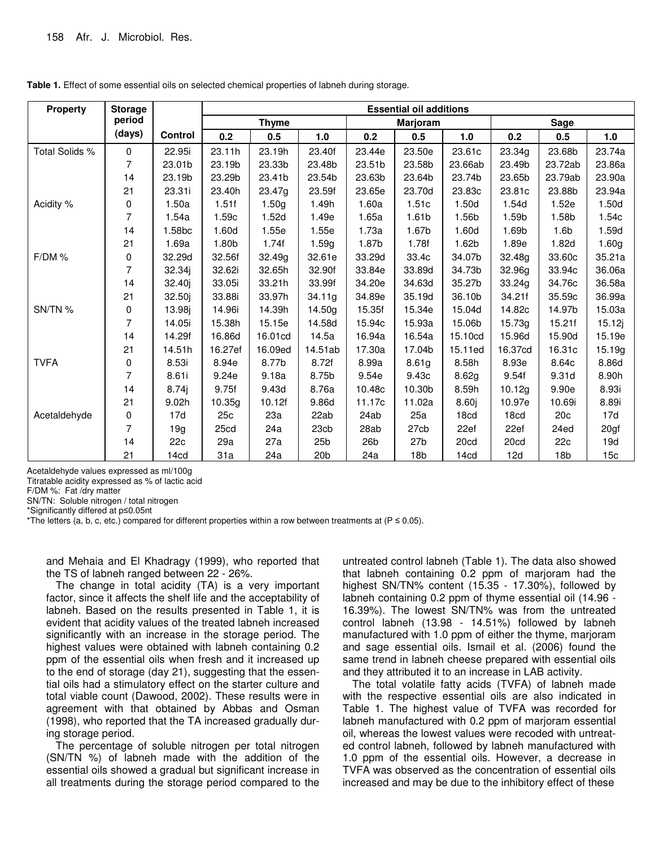| <b>Property</b> | <b>Storage</b> |                    | <b>Essential oil additions</b> |         |                 |                 |                 |                  |         |                  |                 |
|-----------------|----------------|--------------------|--------------------------------|---------|-----------------|-----------------|-----------------|------------------|---------|------------------|-----------------|
|                 | period         |                    | <b>Thyme</b>                   |         | Marjoram        |                 |                 | Sage             |         |                  |                 |
|                 | (days)         | Control            | 0.2                            | 0.5     | 1.0             | 0.2             | 0.5             | 1.0              | 0.2     | 0.5              | 1.0             |
| Total Solids %  | 0              | 22.95i             | 23.11h                         | 23.19h  | 23.40f          | 23.44e          | 23.50e          | 23.61c           | 23.34g  | 23.68b           | 23.74a          |
|                 | 7              | 23.01b             | 23.19b                         | 23.33b  | 23.48b          | 23.51b          | 23.58b          | 23.66ab          | 23.49b  | 23.72ab          | 23.86a          |
|                 | 14             | 23.19b             | 23.29b                         | 23.41b  | 23.54b          | 23.63b          | 23.64b          | 23.74b           | 23.65b  | 23.79ab          | 23.90a          |
|                 | 21             | 23.31i             | 23.40h                         | 23.47g  | 23.59f          | 23.65e          | 23.70d          | 23.83c           | 23.81c  | 23.88b           | 23.94a          |
| Acidity %       | 0              | 1.50a              | 1.51f                          | 1.50g   | 1.49h           | 1.60a           | 1.51c           | 1.50d            | 1.54d   | 1.52e            | 1.50d           |
|                 | 7              | 1.54a              | 1.59c                          | 1.52d   | 1.49e           | 1.65a           | 1.61b           | 1.56b            | 1.59b   | 1.58b            | 1.54c           |
|                 | 14             | 1.58 <sub>bc</sub> | 1.60d                          | 1.55e   | 1.55e           | 1.73a           | 1.67b           | 1.60d            | 1.69b   | 1.6 <sub>b</sub> | 1.59d           |
|                 | 21             | 1.69a              | 1.80b                          | 1.74f   | 1.59g           | 1.87b           | 1.78f           | 1.62b            | 1.89e   | 1.82d            | 1.60g           |
| F/DM%           | 0              | 32.29d             | 32.56f                         | 32.49g  | 32.61e          | 33.29d          | 33.4c           | 34.07b           | 32.48g  | 33.60c           | 35.21a          |
|                 | 7              | 32.34j             | 32.62i                         | 32.65h  | 32.90f          | 33.84e          | 33.89d          | 34.73b           | 32.96g  | 33.94c           | 36.06a          |
|                 | 14             | 32.40j             | 33.05i                         | 33.21h  | 33.99f          | 34.20e          | 34.63d          | 35.27b           | 33.24g  | 34.76c           | 36.58a          |
|                 | 21             | 32.50j             | 33.88i                         | 33.97h  | 34.11g          | 34.89e          | 35.19d          | 36.10b           | 34.21f  | 35.59c           | 36.99a          |
| SN/TN %         | 0              | 13.98i             | 14.96i                         | 14.39h  | 14.50g          | 15.35f          | 15.34e          | 15.04d           | 14.82c  | 14.97b           | 15.03a          |
|                 | 7              | 14.05i             | 15.38h                         | 15.15e  | 14.58d          | 15.94c          | 15.93a          | 15.06b           | 15.73g  | 15.21f           | 15.12j          |
|                 | 14             | 14.29f             | 16.86d                         | 16.01cd | 14.5a           | 16.94a          | 16.54a          | 15.10cd          | 15.96d  | 15.90d           | 15.19e          |
|                 | 21             | 14.51h             | 16.27ef                        | 16.09ed | 14.51ab         | 17.30a          | 17.04b          | 15.11ed          | 16.37cd | 16.31c           | 15.19g          |
| <b>TVFA</b>     | 0              | 8.53i              | 8.94e                          | 8.77b   | 8.72f           | 8.99a           | 8.61g           | 8.58h            | 8.93e   | 8.64c            | 8.86d           |
|                 | 7              | 8.61i              | 9.24e                          | 9.18a   | 8.75b           | 9.54e           | 9.43c           | 8.62g            | 9.54f   | 9.31d            | 8.90h           |
|                 | 14             | 8.74               | 9.75f                          | 9.43d   | 8.76a           | 10.48c          | 10.30b          | 8.59h            | 10.12g  | 9.90e            | 8.93i           |
|                 | 21             | 9.02h              | 10.35g                         | 10.12f  | 9.86d           | 11.17c          | 11.02a          | 8.60j            | 10.97e  | 10.69i           | 8.89i           |
| Acetaldehyde    | 0              | 17d                | 25c                            | 23a     | 22ab            | 24ab            | 25a             | 18cd             | 18cd    | 20 <sub>c</sub>  | 17d             |
|                 | 7              | 19q                | 25cd                           | 24a     | 23cb            | 28ab            | 27cb            | 22ef             | 22ef    | 24ed             | 20gf            |
|                 | 14             | 22c                | 29a                            | 27a     | 25 <sub>b</sub> | 26 <sub>b</sub> | 27 <sub>b</sub> | 20cd             | 20cd    | 22c              | 19d             |
|                 | 21             | 14cd               | 31a                            | 24a     | 20 <sub>b</sub> | 24a             | 18 <sub>b</sub> | 14 <sub>cd</sub> | 12d     | 18 <sub>b</sub>  | 15 <sub>c</sub> |

Table 1. Effect of some essential oils on selected chemical properties of labneh during storage.

Acetaldehyde values expressed as ml/100g

Titratable acidity expressed as % of lactic acid

F/DM %: Fat /dry matter

SN/TN: Soluble nitrogen / total nitrogen

\*Significantly differed at p<0.05nt

\*The letters (a, b, c, etc.) compared for different properties within a row between treatments at ( $P \le 0.05$ ).

and Mehaia and El Khadragy (1999), who reported that the TS of labneh ranged between 22 - 26%.

The change in total acidity (TA) is a very important factor, since it affects the shelf life and the acceptability of labneh. Based on the results presented in Table 1, it is evident that acidity values of the treated labneh increased significantly with an increase in the storage period. The highest values were obtained with labneh containing 0.2 ppm of the essential oils when fresh and it increased up to the end of storage (day 21), suggesting that the essential oils had a stimulatory effect on the starter culture and total viable count (Dawood, 2002). These results were in agreement with that obtained by Abbas and Osman (1998), who reported that the TA increased gradually during storage period.

The percentage of soluble nitrogen per total nitrogen (SN/TN %) of labneh made with the addition of the essential oils showed a gradual but significant increase in all treatments during the storage period compared to the

untreated control labneh (Table 1). The data also showed that labneh containing 0.2 ppm of marjoram had the highest SN/TN% content (15.35 - 17.30%), followed by labneh containing 0.2 ppm of thyme essential oil (14.96 -16.39%). The lowest SN/TN% was from the untreated control labneh (13.98 - 14.51%) followed by labneh manufactured with 1.0 ppm of either the thyme, marjoram and sage essential oils. Ismail et al. (2006) found the same trend in labneh cheese prepared with essential oils and they attributed it to an increase in LAB activity.

The total volatile fatty acids (TVFA) of labneh made with the respective essential oils are also indicated in Table 1. The highest value of TVFA was recorded for labneh manufactured with 0.2 ppm of marjoram essential oil, whereas the lowest values were recoded with untreated control labneh, followed by labneh manufactured with 1.0 ppm of the essential oils. However, a decrease in TVFA was observed as the concentration of essential oils increased and may be due to the inhibitory effect of these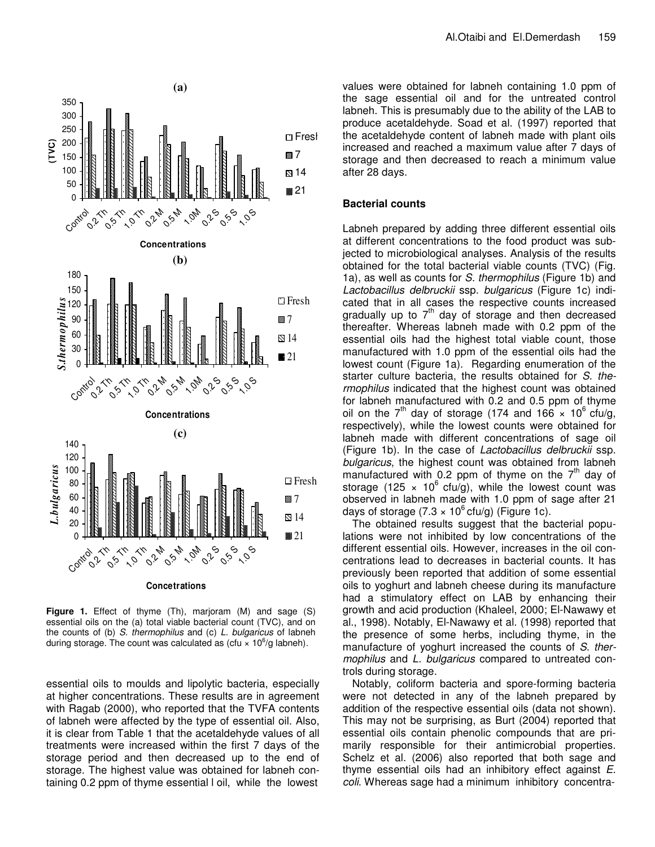

**Figure 1.** Effect of thyme (Th), marjoram (M) and sage (S) essential oils on the (a) total viable bacterial count (TVC), and on the counts of (b) *S. thermophilus* and (c) *L. bulgaricus* of labneh during storage. The count was calculated as (cfu  $\times$  10<sup>6</sup>/g labneh).

essential oils to moulds and lipolytic bacteria, especially at higher concentrations. These results are in agreement with Ragab (2000), who reported that the TVFA contents of labneh were affected by the type of essential oil. Also, it is clear from Table 1 that the acetaldehyde values of all treatments were increased within the first 7 days of the storage period and then decreased up to the end of storage. The highest value was obtained for labneh containing 0.2 ppm of thyme essential l oil, while the lowest

values were obtained for labneh containing 1.0 ppm of the sage essential oil and for the untreated control labneh. This is presumably due to the ability of the LAB to produce acetaldehyde. Soad et al. (1997) reported that the acetaldehyde content of labneh made with plant oils increased and reached a maximum value after 7 days of storage and then decreased to reach a minimum value after 28 days.

# **Bacterial counts**

Labneh prepared by adding three different essential oils at different concentrations to the food product was subjected to microbiological analyses. Analysis of the results obtained for the total bacterial viable counts (TVC) (Fig. 1a), as well as counts for *S. thermophilus* (Figure 1b) and *Lactobacillus delbruckii* ssp. *bulgaricus* (Figure 1c) indicated that in all cases the respective counts increased gradually up to  $7<sup>th</sup>$  day of storage and then decreased thereafter. Whereas labneh made with 0.2 ppm of the essential oils had the highest total viable count, those manufactured with 1.0 ppm of the essential oils had the lowest count (Figure 1a). Regarding enumeration of the starter culture bacteria, the results obtained for *S. thermophilus* indicated that the highest count was obtained for labneh manufactured with 0.2 and 0.5 ppm of thyme oil on the 7<sup>th</sup> day of storage (174 and 166  $\times$  10<sup>6</sup> cfu/g, respectively), while the lowest counts were obtained for labneh made with different concentrations of sage oil (Figure 1b). In the case of *Lactobacillus delbruckii* ssp. *bulgaricus*, the highest count was obtained from labneh manufactured with 0.2 ppm of thyme on the  $7<sup>th</sup>$  day of storage (125  $\times$  10<sup>6</sup> cfu/g), while the lowest count was observed in labneh made with 1.0 ppm of sage after 21 days of storage (7.3  $\times$  10<sup>6</sup> cfu/g) (Figure 1c).

The obtained results suggest that the bacterial populations were not inhibited by low concentrations of the different essential oils. However, increases in the oil concentrations lead to decreases in bacterial counts. It has previously been reported that addition of some essential oils to yoghurt and labneh cheese during its manufacture had a stimulatory effect on LAB by enhancing their growth and acid production (Khaleel, 2000; El-Nawawy et al., 1998). Notably, El-Nawawy et al. (1998) reported that the presence of some herbs, including thyme, in the manufacture of yoghurt increased the counts of *S*. *thermophilus* and *L. bulgaricus* compared to untreated controls during storage.

Notably, coliform bacteria and spore-forming bacteria were not detected in any of the labneh prepared by addition of the respective essential oils (data not shown). This may not be surprising, as Burt (2004) reported that essential oils contain phenolic compounds that are primarily responsible for their antimicrobial properties. Schelz et al. (2006) also reported that both sage and thyme essential oils had an inhibitory effect against *E. coli*. Whereas sage had a minimum inhibitory concentra-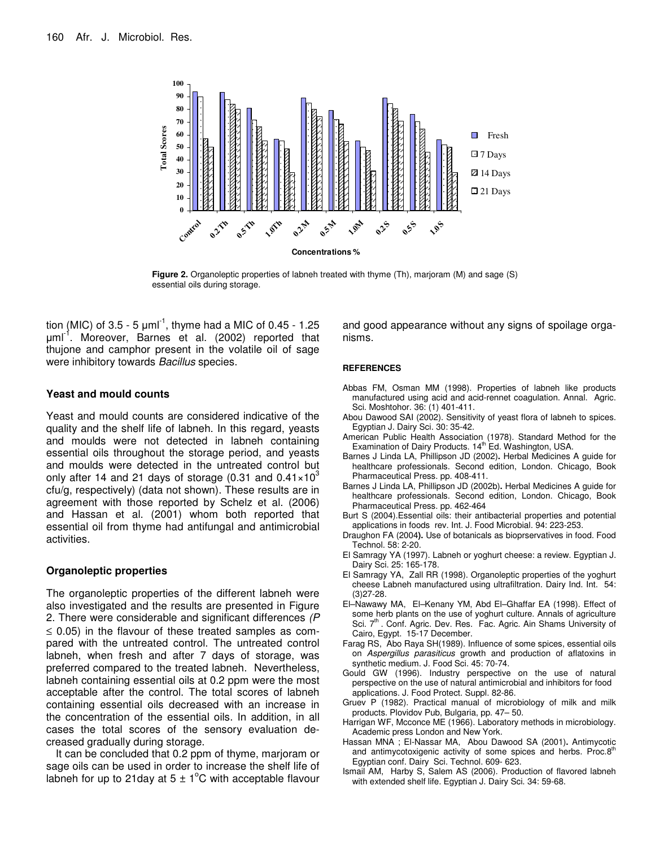

**Figure 2.** Organoleptic properties of labneh treated with thyme (Th), marjoram (M) and sage (S) essential oils during storage.

tion (MIC) of 3.5 - 5  $\mu$ ml<sup>-1</sup>, thyme had a MIC of 0.45 - 1.25 µml<sup>-1</sup>. Moreover, Barnes et al. (2002) reported that thujone and camphor present in the volatile oil of sage were inhibitory towards *Bacillus* species.

## **Yeast and mould counts**

Yeast and mould counts are considered indicative of the quality and the shelf life of labneh. In this regard, yeasts and moulds were not detected in labneh containing essential oils throughout the storage period, and yeasts and moulds were detected in the untreated control but only after 14 and 21 days of storage (0.31 and 0.41 $\times10^3$ cfu/g, respectively) (data not shown). These results are in agreement with those reported by Schelz et al. (2006) and Hassan et al. (2001) whom both reported that essential oil from thyme had antifungal and antimicrobial activities.

# **Organoleptic properties**

The organoleptic properties of the different labneh were also investigated and the results are presented in Figure 2. There were considerable and significant differences *(P*  $\leq$  0.05) in the flavour of these treated samples as compared with the untreated control. The untreated control labneh, when fresh and after 7 days of storage, was preferred compared to the treated labneh. Nevertheless, labneh containing essential oils at 0.2 ppm were the most acceptable after the control. The total scores of labneh containing essential oils decreased with an increase in the concentration of the essential oils. In addition, in all cases the total scores of the sensory evaluation decreased gradually during storage.

It can be concluded that 0.2 ppm of thyme, marjoram or sage oils can be used in order to increase the shelf life of labneh for up to 21 day at 5  $\pm$  1<sup>o</sup>C with acceptable flavour

and good appearance without any signs of spoilage organisms.

#### **REFERENCES**

- Abbas FM, Osman MM (1998). Properties of labneh like products manufactured using acid and acid-rennet coagulation. Annal. Agric. Sci. Moshtohor. 36: (1) 401-411.
- Abou Dawood SAI (2002). Sensitivity of yeast flora of labneh to spices. Egyptian J. Dairy Sci. 30: 35-42.
- American Public Health Association (1978). Standard Method for the Examination of Dairy Products. 14<sup>th</sup> Ed. Washington, USA.
- Barnes J Linda LA, Phillipson JD (2002)**.** Herbal Medicines A guide for healthcare professionals. Second edition, London. Chicago, Book Pharmaceutical Press. pp. 408-411.
- Barnes J Linda LA, Phillipson JD (2002b)**.** Herbal Medicines A guide for healthcare professionals. Second edition, London. Chicago, Book Pharmaceutical Press. pp. 462-464
- Burt S (2004).Essential oils: their antibacterial properties and potential applications in foods rev. Int. J. Food Microbial. 94: 223-253.
- Draughon FA (2004**).** Use of botanicals as bioprservatives in food. Food Technol. 58: 2-20.
- El Samragy YA (1997). Labneh or yoghurt cheese: a review. Egyptian J. Dairy Sci. 25: 165-178.
- El Samragy YA, Zall RR (1998). Organoleptic properties of the yoghurt cheese Labneh manufactured using ultrafiltration. Dairy Ind. Int. 54: (3)27-28.
- El–Nawawy MA, El–Kenany YM, Abd El–Ghaffar EA (1998). Effect of some herb plants on the use of yoghurt culture. Annals of agriculture Sci. 7<sup>th</sup>. Conf. Agric. Dev. Res. Fac. Agric. Ain Shams University of Cairo, Egypt. 15-17 December.
- Farag RS, Abo Raya SH(1989). Influence of some spices, essential oils on *Aspergillus parasiticus* growth and production of aflatoxins in synthetic medium. J. Food Sci. 45: 70-74.
- Gould GW (1996). Industry perspective on the use of natural perspective on the use of natural antimicrobial and inhibitors for food applications. J. Food Protect. Suppl. 82-86.
- Gruev P (1982). Practical manual of microbiology of milk and milk products. Plovidov Pub, Bulgaria, pp. 47– 50.
- Harrigan WF, Mcconce ME (1966). Laboratory methods in microbiology. Academic press London and New York.
- Hassan MNA ; El-Nassar MA, Abou Dawood SA (2001)**.** Antimycotic and antimycotoxigenic activity of some spices and herbs. Proc.8<sup>th</sup> Egyptian conf. Dairy Sci. Technol. 609- 623.
- Ismail AM, Harby S, Salem AS (2006). Production of flavored labneh with extended shelf life. Egyptian J. Dairy Sci. 34: 59-68.